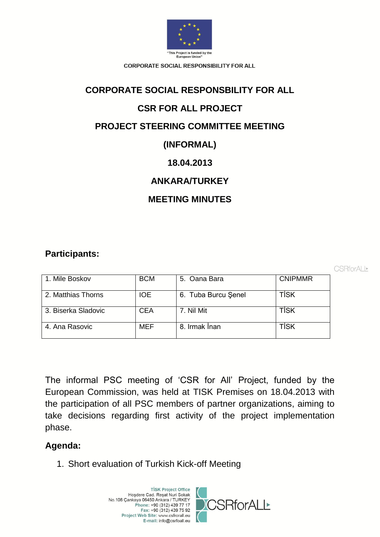

# **CORPORATE SOCIAL RESPONSBILITY FOR ALL**

# **CSR FOR ALL PROJECT**

# **PROJECT STEERING COMMITTEE MEETING**

# **(INFORMAL)**

# **18.04.2013**

# **ANKARA/TURKEY**

# **MEETING MINUTES**

# **Participants:**

CSRforALI<sup>▶</sup>

| 1. Mile Boskov      | <b>BCM</b> | 5. Oana Bara        | <b>CNIPMMR</b> |
|---------------------|------------|---------------------|----------------|
| 2. Matthias Thorns  | <b>IOE</b> | 6. Tuba Burcu Şenel | <b>TİSK</b>    |
| 3. Biserka Sladovic | <b>CEA</b> | 7. Nil Mit          | TİSK           |
| 4. Ana Rasovic      | <b>MEF</b> | 8. Irmak İnan       | <b>TISK</b>    |

The informal PSC meeting of 'CSR for All' Project, funded by the European Commission, was held at TISK Premises on 18.04.2013 with the participation of all PSC members of partner organizations, aiming to take decisions regarding first activity of the project implementation phase.

# **Agenda:**

1. Short evaluation of Turkish Kick-off Meeting

**TİSK Project Office** Hoşdere Cad. Reşat Nuri Sokak<br>No.108 Çankaya 06450 Ankara / TURKEY Phone: +90 (312) 439 77 17 Fax: +90 (312) 439 75 92 Project Web Site: www.csfrorall.eu E-mail: info@csrfoall.eu

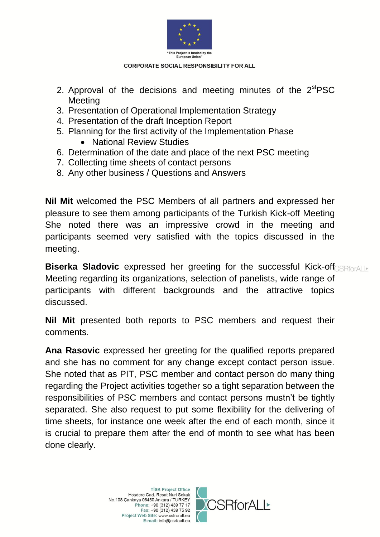

- 2. Approval of the decisions and meeting minutes of the  $2<sup>st</sup>PSC$ **Meeting**
- 3. Presentation of Operational Implementation Strategy
- 4. Presentation of the draft Inception Report
- 5. Planning for the first activity of the Implementation Phase
	- National Review Studies
- 6. Determination of the date and place of the next PSC meeting
- 7. Collecting time sheets of contact persons
- 8. Any other business / Questions and Answers

**Nil Mit** welcomed the PSC Members of all partners and expressed her pleasure to see them among participants of the Turkish Kick-off Meeting She noted there was an impressive crowd in the meeting and participants seemed very satisfied with the topics discussed in the meeting.

**Biserka Sladovic** expressed her greeting for the successful Kick-off Meeting regarding its organizations, selection of panelists, wide range of participants with different backgrounds and the attractive topics discussed.

**Nil Mit** presented both reports to PSC members and request their comments.

**Ana Rasovic** expressed her greeting for the qualified reports prepared and she has no comment for any change except contact person issue. She noted that as PIT, PSC member and contact person do many thing regarding the Project activities together so a tight separation between the responsibilities of PSC members and contact persons mustn't be tightly separated. She also request to put some flexibility for the delivering of time sheets, for instance one week after the end of each month, since it is crucial to prepare them after the end of month to see what has been done clearly.

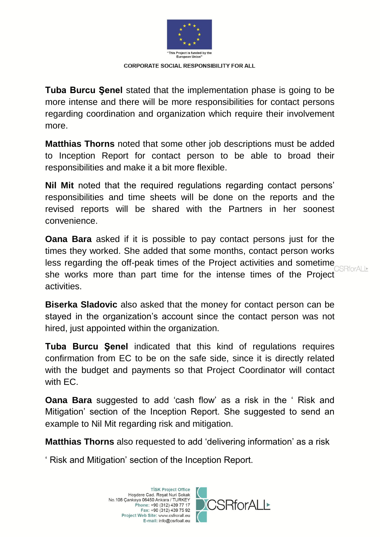

**Tuba Burcu Şenel** stated that the implementation phase is going to be more intense and there will be more responsibilities for contact persons regarding coordination and organization which require their involvement more.

**Matthias Thorns** noted that some other job descriptions must be added to Inception Report for contact person to be able to broad their responsibilities and make it a bit more flexible.

**Nil Mit** noted that the required regulations regarding contact persons' responsibilities and time sheets will be done on the reports and the revised reports will be shared with the Partners in her soonest convenience.

**Oana Bara** asked if it is possible to pay contact persons just for the times they worked. She added that some months, contact person works less regarding the off-peak times of the Project activities and sometime she works more than part time for the intense times of the Project activities.

**Biserka Sladovic** also asked that the money for contact person can be stayed in the organization's account since the contact person was not hired, just appointed within the organization.

**Tuba Burcu Şenel** indicated that this kind of regulations requires confirmation from EC to be on the safe side, since it is directly related with the budget and payments so that Project Coordinator will contact with EC.

**Oana Bara** suggested to add 'cash flow' as a risk in the ' Risk and Mitigation' section of the Inception Report. She suggested to send an example to Nil Mit regarding risk and mitigation.

**Matthias Thorns** also requested to add 'delivering information' as a risk

' Risk and Mitigation' section of the Inception Report.

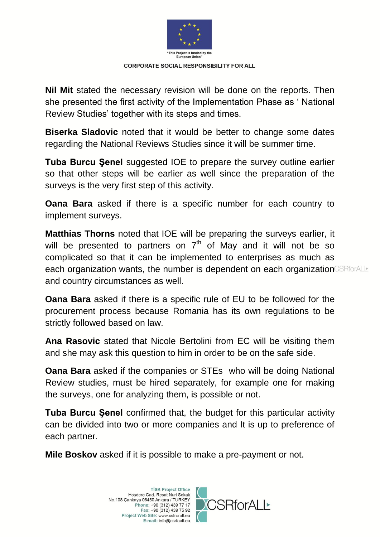

**Nil Mit** stated the necessary revision will be done on the reports. Then she presented the first activity of the Implementation Phase as ' National Review Studies' together with its steps and times.

**Biserka Sladovic** noted that it would be better to change some dates regarding the National Reviews Studies since it will be summer time.

**Tuba Burcu Şenel** suggested IOE to prepare the survey outline earlier so that other steps will be earlier as well since the preparation of the surveys is the very first step of this activity.

**Oana Bara** asked if there is a specific number for each country to implement surveys.

**Matthias Thorns** noted that IOE will be preparing the surveys earlier, it will be presented to partners on  $7<sup>th</sup>$  of May and it will not be so complicated so that it can be implemented to enterprises as much as each organization wants, the number is dependent on each organization CSRforALL and country circumstances as well.

**Oana Bara** asked if there is a specific rule of EU to be followed for the procurement process because Romania has its own regulations to be strictly followed based on law.

**Ana Rasovic** stated that Nicole Bertolini from EC will be visiting them and she may ask this question to him in order to be on the safe side.

**Oana Bara** asked if the companies or STEs who will be doing National Review studies, must be hired separately, for example one for making the surveys, one for analyzing them, is possible or not.

**Tuba Burcu Şenel** confirmed that, the budget for this particular activity can be divided into two or more companies and It is up to preference of each partner.

**Mile Boskov** asked if it is possible to make a pre-payment or not.

TİSK Project Office<br>Hoşdere Cad. Reşat Nuri Sokak No.108 Çankaya 06450 Ankara / TURKEY Phone: +90 (312) 439 77 17 Fax: +90 (312) 439 75 92 Project Web Site: www.csfrorall.eu E-mail: info@csrfoall.eu

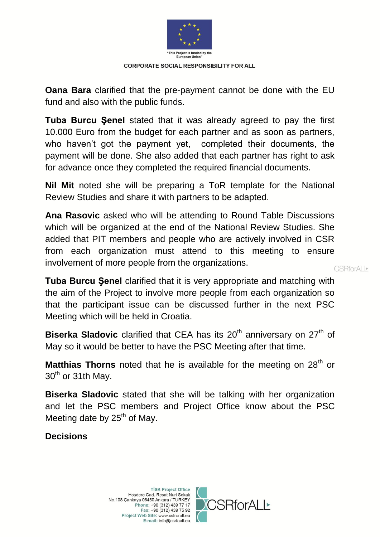

**Oana Bara** clarified that the pre-payment cannot be done with the EU fund and also with the public funds.

**Tuba Burcu Şenel** stated that it was already agreed to pay the first 10.000 Euro from the budget for each partner and as soon as partners, who haven't got the payment yet, completed their documents, the payment will be done. She also added that each partner has right to ask for advance once they completed the required financial documents.

**Nil Mit** noted she will be preparing a ToR template for the National Review Studies and share it with partners to be adapted.

**Ana Rasovic** asked who will be attending to Round Table Discussions which will be organized at the end of the National Review Studies. She added that PIT members and people who are actively involved in CSR from each organization must attend to this meeting to ensure involvement of more people from the organizations.

**CSRforALI\*** 

**Tuba Burcu Şenel** clarified that it is very appropriate and matching with the aim of the Project to involve more people from each organization so that the participant issue can be discussed further in the next PSC Meeting which will be held in Croatia.

**Biserka Sladovic** clarified that CEA has its 20<sup>th</sup> anniversary on 27<sup>th</sup> of May so it would be better to have the PSC Meeting after that time.

**Matthias Thorns** noted that he is available for the meeting on 28<sup>th</sup> or 30<sup>th</sup> or 31th May.

**Biserka Sladovic** stated that she will be talking with her organization and let the PSC members and Project Office know about the PSC Meeting date by  $25<sup>th</sup>$  of May.

**Decisions**

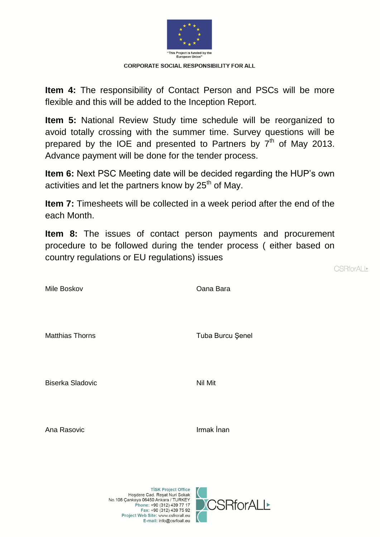

**Item 4:** The responsibility of Contact Person and PSCs will be more flexible and this will be added to the Inception Report.

**Item 5:** National Review Study time schedule will be reorganized to avoid totally crossing with the summer time. Survey questions will be prepared by the IOE and presented to Partners by  $7<sup>th</sup>$  of May 2013. Advance payment will be done for the tender process.

**Item 6:** Next PSC Meeting date will be decided regarding the HUP's own activities and let the partners know by 25<sup>th</sup> of May.

**Item 7:** Timesheets will be collected in a week period after the end of the each Month.

**Item 8:** The issues of contact person payments and procurement procedure to be followed during the tender process ( either based on country regulations or EU regulations) issues

CSRforALI<sup>▶</sup>

Mile Boskov Oana Bara

Matthias Thorns **Tuba Burcu Şenel** 

Biserka Sladovic Nil Mit

Ana Rasovic **Irmak** İnan